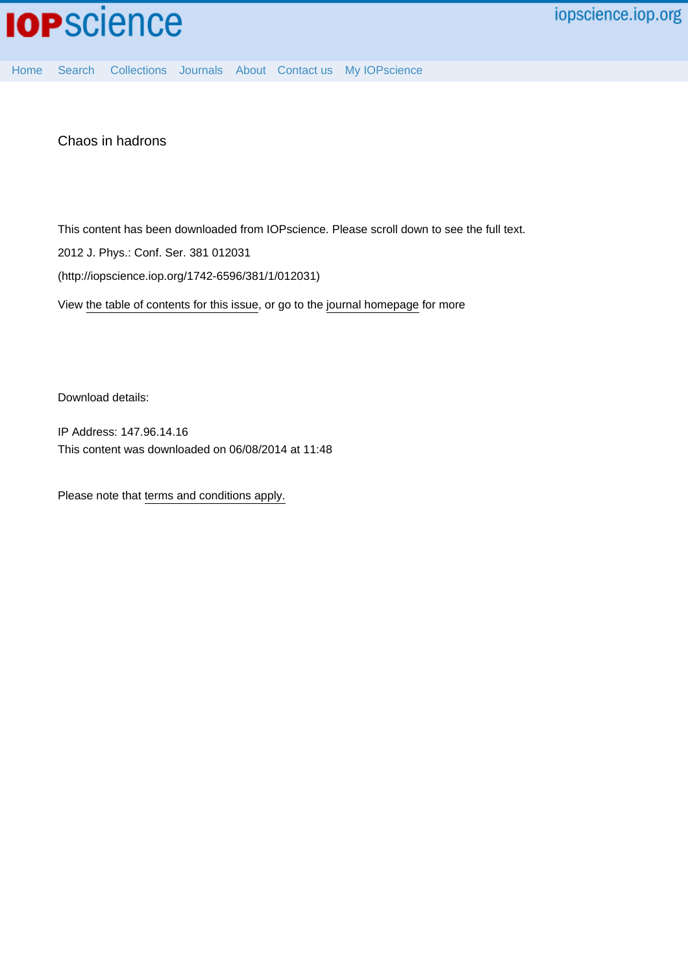

[Home](http://iopscience.iop.org/) [Search](http://iopscience.iop.org/search) [Collections](http://iopscience.iop.org/collections) [Journals](http://iopscience.iop.org/journals) [About](http://iopscience.iop.org/page/aboutioppublishing) [Contact us](http://iopscience.iop.org/contact) [My IOPscience](http://iopscience.iop.org/myiopscience)

Chaos in hadrons

This content has been downloaded from IOPscience. Please scroll down to see the full text.

2012 J. Phys.: Conf. Ser. 381 012031

(http://iopscience.iop.org/1742-6596/381/1/012031)

View [the table of contents for this issue](http://iopscience.iop.org/1742-6596/381/1), or go to the [journal homepage](http://iopscience.iop.org/1742-6596) for more

Download details:

IP Address: 147.96.14.16 This content was downloaded on 06/08/2014 at 11:48

Please note that [terms and conditions apply.](iopscience.iop.org/page/terms)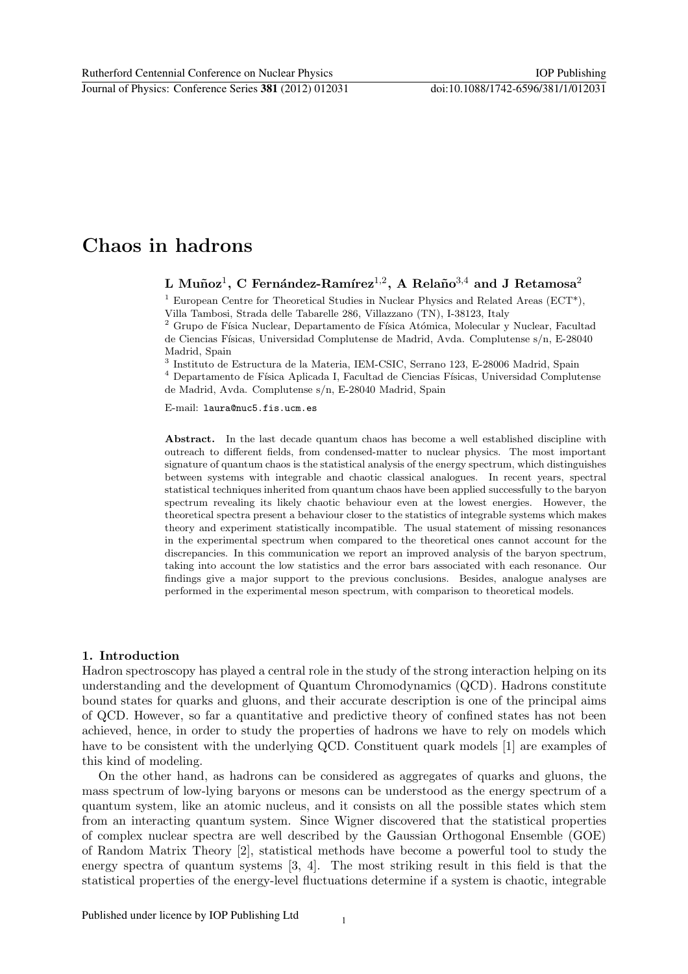# Chaos in hadrons

L Muñoz $^1$ , C Fernández-Ramírez $^{1,2}$ , A Relaño $^{3,4}$  and J Retamosa $^2$ 

<sup>1</sup> European Centre for Theoretical Studies in Nuclear Physics and Related Areas (ECT<sup>\*</sup>), Villa Tambosi, Strada delle Tabarelle 286, Villazzano (TN), I-38123, Italy

 $^2$ Grupo de Física Nuclear, Departamento de Física Atómica, Molecular y Nuclear, Facultad de Ciencias Físicas, Universidad Complutense de Madrid, Avda. Complutense s/n, E-28040 Madrid, Spain

3 Instituto de Estructura de la Materia, IEM-CSIC, Serrano 123, E-28006 Madrid, Spain

 $^4$  Departamento de Física Aplicada I, Facultad de Ciencias Físicas, Universidad Complutense de Madrid, Avda. Complutense s/n, E-28040 Madrid, Spain

E-mail: laura@nuc5.fis.ucm.es

Abstract. In the last decade quantum chaos has become a well established discipline with outreach to different fields, from condensed-matter to nuclear physics. The most important signature of quantum chaos is the statistical analysis of the energy spectrum, which distinguishes between systems with integrable and chaotic classical analogues. In recent years, spectral statistical techniques inherited from quantum chaos have been applied successfully to the baryon spectrum revealing its likely chaotic behaviour even at the lowest energies. However, the theoretical spectra present a behaviour closer to the statistics of integrable systems which makes theory and experiment statistically incompatible. The usual statement of missing resonances in the experimental spectrum when compared to the theoretical ones cannot account for the discrepancies. In this communication we report an improved analysis of the baryon spectrum, taking into account the low statistics and the error bars associated with each resonance. Our findings give a major support to the previous conclusions. Besides, analogue analyses are performed in the experimental meson spectrum, with comparison to theoretical models.

# 1. Introduction

Hadron spectroscopy has played a central role in the study of the strong interaction helping on its understanding and the development of Quantum Chromodynamics (QCD). Hadrons constitute bound states for quarks and gluons, and their accurate description is one of the principal aims of QCD. However, so far a quantitative and predictive theory of confined states has not been achieved, hence, in order to study the properties of hadrons we have to rely on models which have to be consistent with the underlying QCD. Constituent quark models [1] are examples of this kind of modeling.

On the other hand, as hadrons can be considered as aggregates of quarks and gluons, the mass spectrum of low-lying baryons or mesons can be understood as the energy spectrum of a quantum system, like an atomic nucleus, and it consists on all the possible states which stem from an interacting quantum system. Since Wigner discovered that the statistical properties of complex nuclear spectra are well described by the Gaussian Orthogonal Ensemble (GOE) of Random Matrix Theory [2], statistical methods have become a powerful tool to study the energy spectra of quantum systems [3, 4]. The most striking result in this field is that the statistical properties of the energy-level fluctuations determine if a system is chaotic, integrable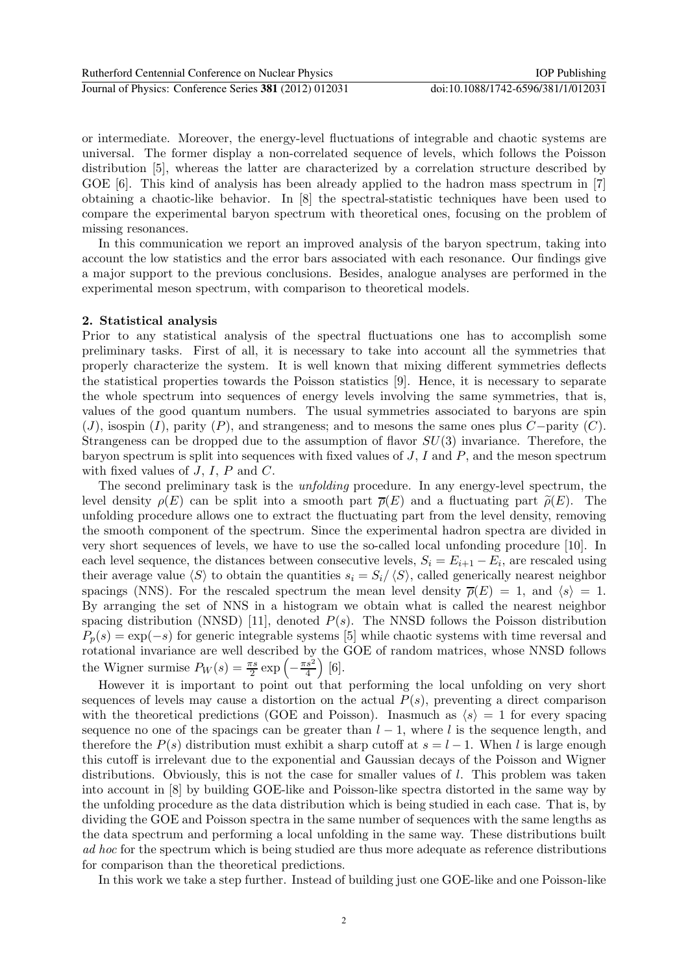or intermediate. Moreover, the energy-level fluctuations of integrable and chaotic systems are universal. The former display a non-correlated sequence of levels, which follows the Poisson distribution [5], whereas the latter are characterized by a correlation structure described by GOE [6]. This kind of analysis has been already applied to the hadron mass spectrum in [7] obtaining a chaotic-like behavior. In [8] the spectral-statistic techniques have been used to compare the experimental baryon spectrum with theoretical ones, focusing on the problem of missing resonances.

In this communication we report an improved analysis of the baryon spectrum, taking into account the low statistics and the error bars associated with each resonance. Our findings give a major support to the previous conclusions. Besides, analogue analyses are performed in the experimental meson spectrum, with comparison to theoretical models.

#### 2. Statistical analysis

Prior to any statistical analysis of the spectral fluctuations one has to accomplish some preliminary tasks. First of all, it is necessary to take into account all the symmetries that properly characterize the system. It is well known that mixing different symmetries deflects the statistical properties towards the Poisson statistics [9]. Hence, it is necessary to separate the whole spectrum into sequences of energy levels involving the same symmetries, that is, values of the good quantum numbers. The usual symmetries associated to baryons are spin  $(J)$ , isospin  $(I)$ , parity  $(P)$ , and strangeness; and to mesons the same ones plus  $C$ -parity  $(C)$ . Strangeness can be dropped due to the assumption of flavor  $SU(3)$  invariance. Therefore, the baryon spectrum is split into sequences with fixed values of  $J, I$  and  $P$ , and the meson spectrum with fixed values of  $J, I, P$  and  $C$ .

The second preliminary task is the *unfolding* procedure. In any energy-level spectrum, the level density  $\rho(E)$  can be split into a smooth part  $\overline{\rho}(E)$  and a fluctuating part  $\tilde{\rho}(E)$ . The unfolding procedure allows one to extract the fluctuating part from the level density, removing the smooth component of the spectrum. Since the experimental hadron spectra are divided in very short sequences of levels, we have to use the so-called local unfonding procedure [10]. In each level sequence, the distances between consecutive levels,  $S_i = E_{i+1} - E_i$ , are rescaled using their average value  $\langle S \rangle$  to obtain the quantities  $s_i = S_i/\langle S \rangle$ , called generically nearest neighbor spacings (NNS). For the rescaled spectrum the mean level density  $\overline{\rho}(E) = 1$ , and  $\langle s \rangle = 1$ . By arranging the set of NNS in a histogram we obtain what is called the nearest neighbor spacing distribution (NNSD) [11], denoted  $P(s)$ . The NNSD follows the Poisson distribution  $P_p(s) = \exp(-s)$  for generic integrable systems [5] while chaotic systems with time reversal and rotational invariance are well described by the GOE of random matrices, whose NNSD follows the Wigner surmise  $P_W(s) = \frac{\pi s}{2} \exp\left(-\frac{\pi s^2}{4}\right)$ 4  $[6]$ .

However it is important to point out that performing the local unfolding on very short sequences of levels may cause a distortion on the actual  $P(s)$ , preventing a direct comparison with the theoretical predictions (GOE and Poisson). Inasmuch as  $\langle s \rangle = 1$  for every spacing sequence no one of the spacings can be greater than  $l-1$ , where l is the sequence length, and therefore the  $P(s)$  distribution must exhibit a sharp cutoff at  $s = l - 1$ . When l is large enough this cutoff is irrelevant due to the exponential and Gaussian decays of the Poisson and Wigner distributions. Obviously, this is not the case for smaller values of l. This problem was taken into account in [8] by building GOE-like and Poisson-like spectra distorted in the same way by the unfolding procedure as the data distribution which is being studied in each case. That is, by dividing the GOE and Poisson spectra in the same number of sequences with the same lengths as the data spectrum and performing a local unfolding in the same way. These distributions built ad hoc for the spectrum which is being studied are thus more adequate as reference distributions for comparison than the theoretical predictions.

In this work we take a step further. Instead of building just one GOE-like and one Poisson-like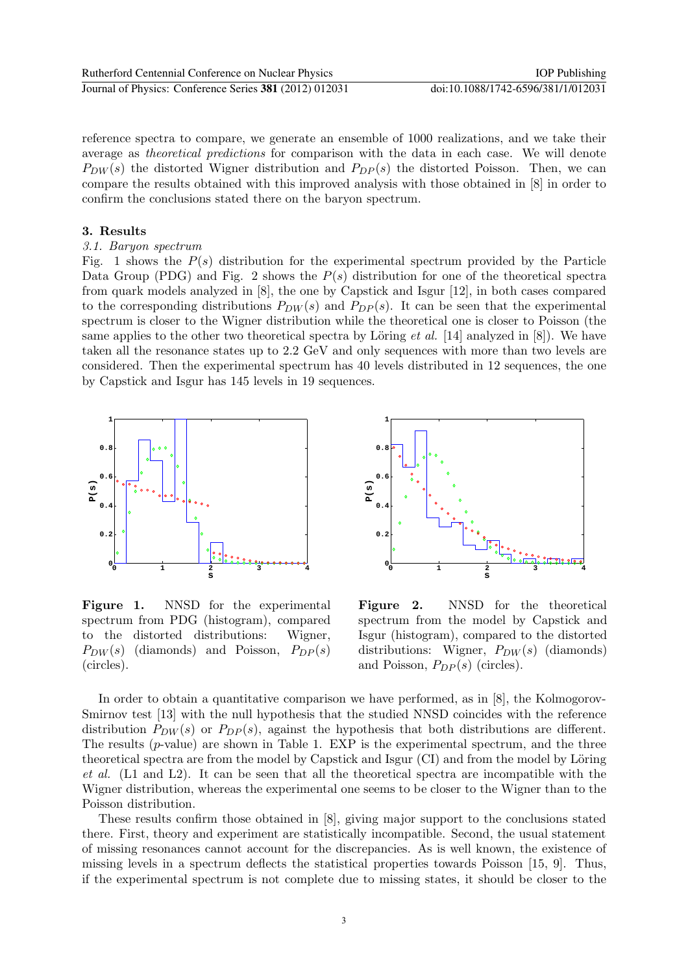reference spectra to compare, we generate an ensemble of 1000 realizations, and we take their average as theoretical predictions for comparison with the data in each case. We will denote  $P_{DW}(s)$  the distorted Wigner distribution and  $P_{DP}(s)$  the distorted Poisson. Then, we can compare the results obtained with this improved analysis with those obtained in [8] in order to confirm the conclusions stated there on the baryon spectrum.

### 3. Results

# 3.1. Baryon spectrum

Fig. 1 shows the  $P(s)$  distribution for the experimental spectrum provided by the Particle Data Group (PDG) and Fig. 2 shows the  $P(s)$  distribution for one of the theoretical spectra from quark models analyzed in [8], the one by Capstick and Isgur [12], in both cases compared to the corresponding distributions  $P_{DW}(s)$  and  $P_{DP}(s)$ . It can be seen that the experimental spectrum is closer to the Wigner distribution while the theoretical one is closer to Poisson (the same applies to the other two theoretical spectra by Löring *et al.* [14] analyzed in [8]). We have taken all the resonance states up to 2.2 GeV and only sequences with more than two levels are considered. Then the experimental spectrum has 40 levels distributed in 12 sequences, the one by Capstick and Isgur has 145 levels in 19 sequences.



Figure 1. NNSD for the experimental spectrum from PDG (histogram), compared to the distorted distributions: Wigner,  $P_{DW}(s)$  (diamonds) and Poisson,  $P_{DP}(s)$ (circles).



Figure 2. NNSD for the theoretical spectrum from the model by Capstick and Isgur (histogram), compared to the distorted distributions: Wigner,  $P_{DW}(s)$  (diamonds) and Poisson,  $P_{DP}(s)$  (circles).

In order to obtain a quantitative comparison we have performed, as in [8], the Kolmogorov-Smirnov test [13] with the null hypothesis that the studied NNSD coincides with the reference distribution  $P_{DW}(s)$  or  $P_{DP}(s)$ , against the hypothesis that both distributions are different. The results ( $p$ -value) are shown in Table 1. EXP is the experimental spectrum, and the three theoretical spectra are from the model by Capstick and Isgur (CI) and from the model by Löring et al. (L1 and L2). It can be seen that all the theoretical spectra are incompatible with the Wigner distribution, whereas the experimental one seems to be closer to the Wigner than to the Poisson distribution.

These results confirm those obtained in [8], giving major support to the conclusions stated there. First, theory and experiment are statistically incompatible. Second, the usual statement of missing resonances cannot account for the discrepancies. As is well known, the existence of missing levels in a spectrum deflects the statistical properties towards Poisson [15, 9]. Thus, if the experimental spectrum is not complete due to missing states, it should be closer to the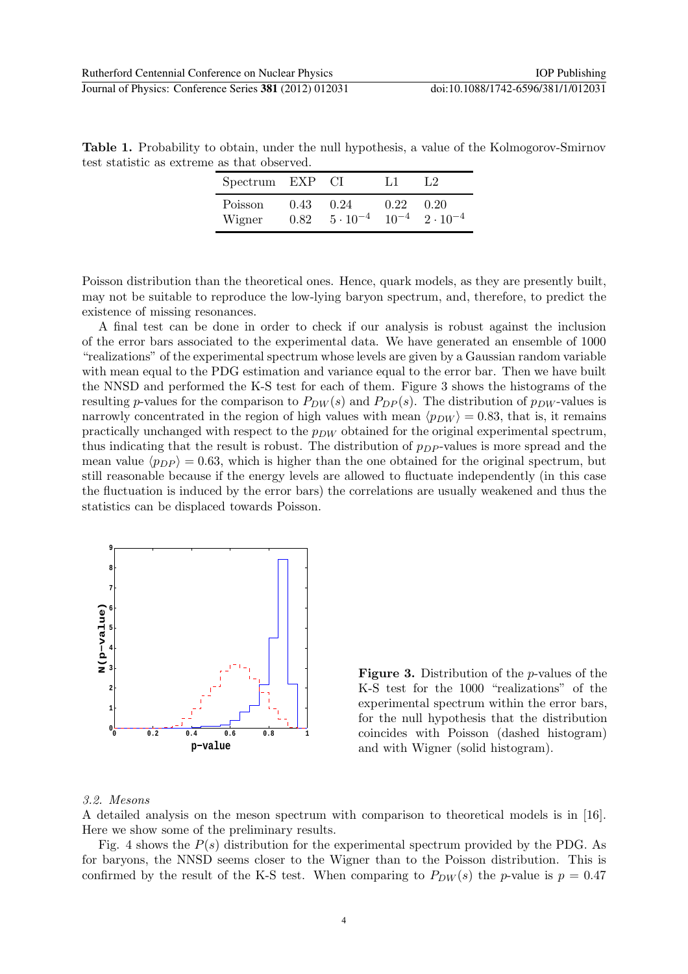Table 1. Probability to obtain, under the null hypothesis, a value of the Kolmogorov-Smirnov test statistic as extreme as that observed.

| Spectrum EXP CI   |              |                                                       | 1.1  | 1.2  |
|-------------------|--------------|-------------------------------------------------------|------|------|
| Poisson<br>Wigner | 0.43<br>0.82 | 0.24<br>$5 \cdot 10^{-4}$ $10^{-4}$ $2 \cdot 10^{-4}$ | 0.22 | 0.20 |

Poisson distribution than the theoretical ones. Hence, quark models, as they are presently built, may not be suitable to reproduce the low-lying baryon spectrum, and, therefore, to predict the existence of missing resonances.

A final test can be done in order to check if our analysis is robust against the inclusion of the error bars associated to the experimental data. We have generated an ensemble of 1000 "realizations" of the experimental spectrum whose levels are given by a Gaussian random variable with mean equal to the PDG estimation and variance equal to the error bar. Then we have built the NNSD and performed the K-S test for each of them. Figure 3 shows the histograms of the resulting p-values for the comparison to  $P_{DW}(s)$  and  $P_{DP}(s)$ . The distribution of  $p_{DW}$ -values is narrowly concentrated in the region of high values with mean  $\langle p_{DW} \rangle = 0.83$ , that is, it remains practically unchanged with respect to the  $p_{DW}$  obtained for the original experimental spectrum, thus indicating that the result is robust. The distribution of  $p_{DP}$ -values is more spread and the mean value  $\langle p_{DP} \rangle = 0.63$ , which is higher than the one obtained for the original spectrum, but still reasonable because if the energy levels are allowed to fluctuate independently (in this case the fluctuation is induced by the error bars) the correlations are usually weakened and thus the statistics can be displaced towards Poisson.



Figure 3. Distribution of the p-values of the K-S test for the 1000 "realizations" of the experimental spectrum within the error bars, for the null hypothesis that the distribution coincides with Poisson (dashed histogram) and with Wigner (solid histogram).

#### 3.2. Mesons

A detailed analysis on the meson spectrum with comparison to theoretical models is in [16]. Here we show some of the preliminary results.

Fig. 4 shows the  $P(s)$  distribution for the experimental spectrum provided by the PDG. As for baryons, the NNSD seems closer to the Wigner than to the Poisson distribution. This is confirmed by the result of the K-S test. When comparing to  $P_{DW}(s)$  the p-value is  $p = 0.47$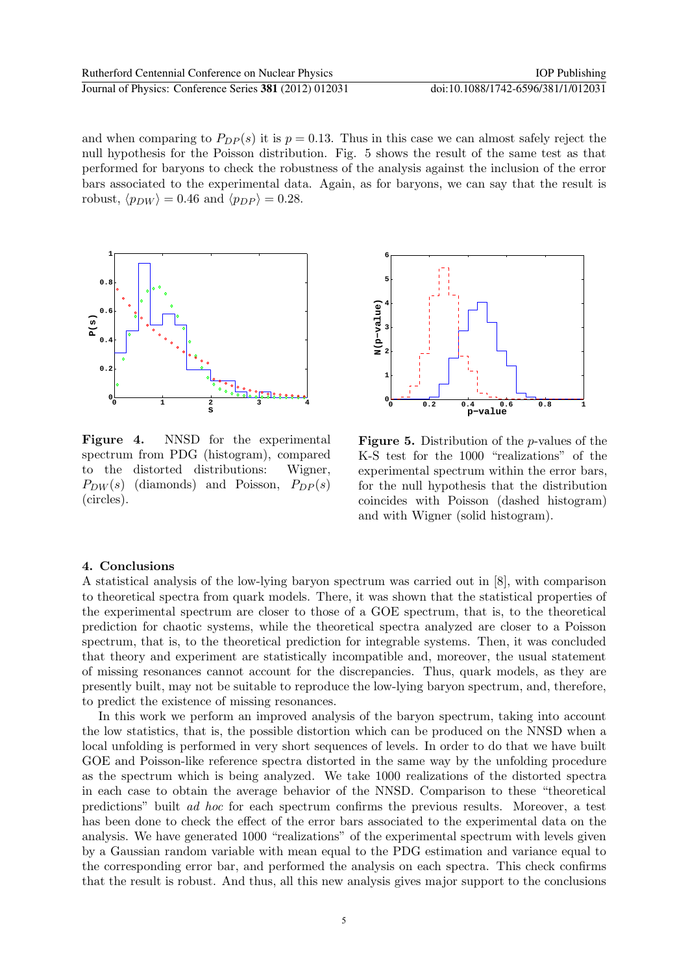and when comparing to  $P_{DP}(s)$  it is  $p = 0.13$ . Thus in this case we can almost safely reject the null hypothesis for the Poisson distribution. Fig. 5 shows the result of the same test as that performed for baryons to check the robustness of the analysis against the inclusion of the error bars associated to the experimental data. Again, as for baryons, we can say that the result is robust,  $\langle p_{DW} \rangle = 0.46$  and  $\langle p_{DP} \rangle = 0.28$ .



Figure 4. NNSD for the experimental spectrum from PDG (histogram), compared to the distorted distributions: Wigner,  $P_{DW}(s)$  (diamonds) and Poisson,  $P_{DP}(s)$ (circles).



Figure 5. Distribution of the p-values of the K-S test for the 1000 "realizations" of the experimental spectrum within the error bars, for the null hypothesis that the distribution coincides with Poisson (dashed histogram) and with Wigner (solid histogram).

# 4. Conclusions

A statistical analysis of the low-lying baryon spectrum was carried out in [8], with comparison to theoretical spectra from quark models. There, it was shown that the statistical properties of the experimental spectrum are closer to those of a GOE spectrum, that is, to the theoretical prediction for chaotic systems, while the theoretical spectra analyzed are closer to a Poisson spectrum, that is, to the theoretical prediction for integrable systems. Then, it was concluded that theory and experiment are statistically incompatible and, moreover, the usual statement of missing resonances cannot account for the discrepancies. Thus, quark models, as they are presently built, may not be suitable to reproduce the low-lying baryon spectrum, and, therefore, to predict the existence of missing resonances.

In this work we perform an improved analysis of the baryon spectrum, taking into account the low statistics, that is, the possible distortion which can be produced on the NNSD when a local unfolding is performed in very short sequences of levels. In order to do that we have built GOE and Poisson-like reference spectra distorted in the same way by the unfolding procedure as the spectrum which is being analyzed. We take 1000 realizations of the distorted spectra in each case to obtain the average behavior of the NNSD. Comparison to these "theoretical predictions" built ad hoc for each spectrum confirms the previous results. Moreover, a test has been done to check the effect of the error bars associated to the experimental data on the analysis. We have generated 1000 "realizations" of the experimental spectrum with levels given by a Gaussian random variable with mean equal to the PDG estimation and variance equal to the corresponding error bar, and performed the analysis on each spectra. This check confirms that the result is robust. And thus, all this new analysis gives major support to the conclusions